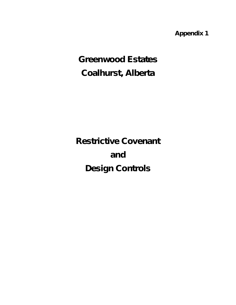*Appendix 1*

# *Greenwood Estates Coalhurst, Alberta*

*Restrictive Covenant and Design Controls*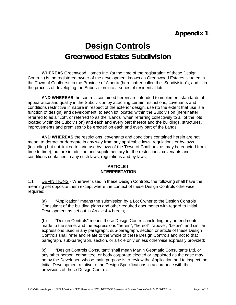# **Design Controls** *Greenwood Estates Subdivision*

**WHEREAS** Greenwood Homes Inc. (at the time of the registration of these Design Controls) is the registered owner of the development known as Greenwood Estates situated in the Town of Coalhurst, in the Province of Alberta (hereinafter called the "Subdivision"), and is in the process of developing the Subdivision into a series of residential lots;

**AND WHEREAS** the controls contained herein are intended to implement standards of appearance and quality in the Subdivision by attaching certain restrictions, covenants and conditions restrictive in nature in respect of the exterior design, use (to the extent that use is a function of design) and development, to each lot located within the Subdivision (hereinafter referred to as a "Lot", or referred to as the "Lands" when referring collectively to all of the lots located within the Subdivision) and each and every part thereof and the buildings, structures, improvements and premises to be erected on each and every part of the Lands;

**AND WHEREAS** the restrictions, covenants and conditions contained herein are not meant to detract or derogate in any way from any applicable laws, regulations or by-laws (including but not limited to land use by-laws of the Town of Coalhurst as may be enacted from time to time), but are in addition and supplementary to, the restrictions, covenants and conditions contained in any such laws, regulations and by-laws;

#### **ARTICLE I INTERPRETATION**

1.1 DEFINITIONS - Wherever used in these Design Controls, the following shall have the meaning set opposite them except where the context of these Design Controls otherwise requires:

(a) "Application" means the submission by a Lot Owner to the Design Controls Consultant of the building plans and other required documents with regard to Initial Development as set out in Article 4.4 herein;

(b) "Design Controls" means these Design Controls including any amendments made to the same, and the expressions "herein", "hereof", "above", "below", and similar expressions used in any paragraph, sub-paragraph, section or article of these Design Controls shall refer and relate to the whole of these Design Controls and not to that paragraph, sub-paragraph, section, or article only unless otherwise expressly provided;

(c) "Design Controls Consultant" shall mean Martin Geomatic Consultants Ltd. or any other person, committee, or body corporate elected or appointed as the case may be by the Developer, whose main purpose is to review the Application and to inspect the Initial Development relative to the Design Specifications in accordance with the provisions of these Design Controls;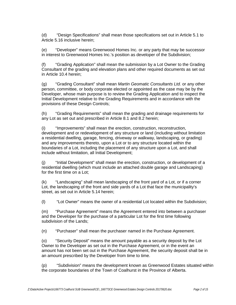(d) "Design Specifications" shall mean those specifications set out in Article 5.1 to Article 5.16 inclusive herein;

(e) "Developer" means Greenwood Homes Inc. or any party that may be successor in interest to Greenwood Homes Inc.'s position as developer of the Subdivision;

(f) "Grading Application" shall mean the submission by a Lot Owner to the Grading Consultant of the grading and elevation plans and other required documents as set out in Article 10.4 herein;

(g) "Grading Consultant" shall mean *Martin Geomatic Consultants Ltd.* or any other person, committee, or body corporate elected or appointed as the case may be by the Developer, whose main purpose is to review the Grading Application and to inspect the Initial Development relative to the Grading Requirements and in accordance with the provisions of these Design Controls;

(h) "Grading Requirements" shall mean the grading and drainage requirements for any Lot as set out and prescribed in Article 8.1 and 8.2 herein;

(i) "Improvements" shall mean the erection, construction, reconstruction, development and or redevelopment of any structure or land (including without limitation a residential dwelling, garage, fencing, driveway or walkway, landscaping, or grading) and any improvements thereto, upon a Lot or to any structure located within the boundaries of a Lot, including the placement of any structure upon a Lot, and shall include without limitation, all Initial Development;

(j) "Initial Development" shall mean the erection, construction, or development of a residential dwelling (which must include an attached double garage and Landscaping) for the first time on a Lot;

(k) "Landscaping" shall mean landscaping of the front yard of a Lot, or if a corner Lot, the landscaping of the front and side yards of a Lot that face the municipality's street, as set out in Article 5.14 herein;

(l) "Lot Owner" means the owner of a residential Lot located within the Subdivision;

(m) "Purchase Agreement" means the Agreement entered into between a purchaser and the Developer for the purchase of a particular Lot for the first time following subdivision of the Lands;

(n) "Purchaser" shall mean the purchaser named in the Purchase Agreement.

(o) "Security Deposit" means the amount payable as a security deposit by the Lot Owner to the Developer as set out in the Purchase Agreement, or in the event an amount has not been set out in the Purchase Agreement, the security deposit shall be in an amount prescribed by the Developer from time to time.

(p) "Subdivision" means the development known as Greenwood Estates situated within the corporate boundaries of the Town of Coalhurst in the Province of Alberta.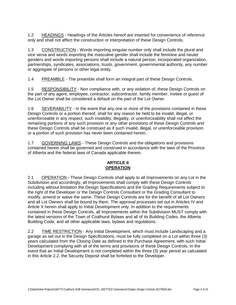1.2 HEADINGS - Headings of the Articles hereof are inserted for convenience of reference only and shall not affect the construction or interpretation of these Design Controls.

1.3 CONSTRUCTION - Words importing singular number only shall include the plural and vice versa and words importing the masculine gender shall include the feminine and neuter genders and words importing persons shall include a natural person, incorporated organization, partnerships, syndicates, associations, trusts, government, governmental authority, any number or aggregate of persons or other legal entity.

1.4 PREAMBLE - The preamble shall form an integral part of these Design Controls.

1.5 RESPONSIBILITY - Non compliance with, or any violation of, these Design Controls on the part of any agent, employee, contractor, subcontractor, family member, invitee or guest of the Lot Owner shall be considered a default on the part of the Lot Owner.

1.6 SEVERABILITY - In the event that any one or more of the provisions contained in these Design Controls or a portion thereof, shall for any reason be held to be invalid, illegal, or unenforceable in any respect, such invalidity, illegality, or unenforceability shall not affect the remaining portions of any such provision or any other provisions of these Design Controls and these Design Controls shall be construed as if such invalid, illegal, or unenforceable provision or a portion of such provision has never been contained herein.

1.7 GOVERNING LAWS - These Design Controls and the obligations and provisions contained herein shall be governed and construed in accordance with the laws of the Province of Alberta and the federal laws of Canada applicable therein.

# **ARTICLE II OPERATION**

2.1 OPERATION - These Design Controls shall apply to all Improvements on any Lot in the Subdivision and accordingly, all Improvements shall comply with these Design Controls including without limitation the Design Specifications and the Grading Requirements subject to the right of the Developer or the Design Controls Consultant or the Grading Consultant to modify, amend or waive the same. These Design Controls are for the benefit of all Lot Owners and all Lot Owners shall be bound by them. The approval processes set out in Articles IV and Article X herein shall apply to Initial Development only. In addition to the requirements contained in these Design Controls, all Improvements within the Subdivision MUST comply with the latest versions of the Town of Coalhurst Bylaws and all of its Building Codes, the Alberta Building Code, and all other applicable laws, bylaws and regulations.

2.2 TIME RESTRICTION - Any Initial Development, which must include Landscaping and a garage as set out in the Design Specifications, must be fully completed on a Lot within three (3) years calculated from the Closing Date as defined in the Purchase Agreement, with such Initial Development complying with all of the terms and provisions of these Design Controls. In the event that an Initial Development is not completed within the three (3) year period as calculated in this Article 2.2, the Security Deposit shall be forfeited to the Developer.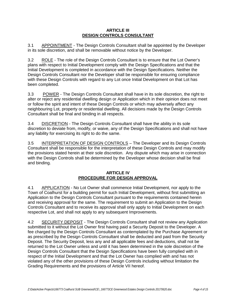#### **ARTICLE III DESIGN CONTROLS CONSULTANT**

3.1 APPOINTMENT - The Design Controls Consultant shall be appointed by the Developer in its sole discretion, and shall be removable without notice by the Developer.

3.2 ROLE - The role of the Design Controls Consultant is to ensure that the Lot Owner's plans with respect to Initial Development comply with the Design Specifications and that the Initial Development is completed in accordance with the Design Specifications. Neither the Design Controls Consultant nor the Developer shall be responsible for ensuring compliance with these Design Controls with regard to any Lot once Initial Development on that Lot has been completed.

3.3 POWER - The Design Controls Consultant shall have in its sole discretion, the right to alter or reject any residential dwelling design or Application which in their opinion does not meet or follow the spirit and intent of these Design Controls or which may adversely affect any neighbouring Lot, property or residential dwelling. All decisions made by the Design Controls Consultant shall be final and binding in all respects.

3.4 DISCRETION - The Design Controls Consultant shall have the ability in its sole discretion to deviate from, modify, or waive, any of the Design Specifications and shall not have any liability for exercising its right to do the same.

3.5 INTERPRETATION OF DESIGN CONTROLS – The Developer and its Design Controls Consultant shall be responsible for the interpretation of these Design Controls and may modify the provisions stated herein at their sole discretion. Any dispute which may arise in connection with the Design Controls shall be determined by the Developer whose decision shall be final and binding.

# **ARTICLE IV PROCEDURE FOR DESIGN APPROVAL**

4.1 APPLICATION - No Lot Owner shall commence Initial Development, nor apply to the Town of Coalhurst for a building permit for such Initial Development, without first submitting an Application to the Design Controls Consultant pursuant to the requirements contained herein and receiving approval for the same. The requirement to submit an Application to the Design Controls Consultant and to receive its approval shall only apply to Initial Development on each respective Lot, and shall not apply to any subsequent Improvements.

4.2 SECURITY DEPOSIT - The Design Controls Consultant shall not review any Application submitted to it without the Lot Owner first having paid a Security Deposit to the Developer. A fee charged by the Design Controls Consultant as contemplated by the Purchase Agreement or as prescribed by the Design Controls Consultant shall be deducted and paid from the Security Deposit. The Security Deposit, less any and all applicable fees and deductions, shall not be returned to the Lot Owner unless and until it has been determined in the sole discretion of the Design Controls Consultant that the Design Specifications have been fully complied with in respect of the Initial Development and that the Lot Owner has complied with and has not violated any of the other provisions of these Design Controls including without limitation the Grading Requirements and the provisions of Article VII hereof.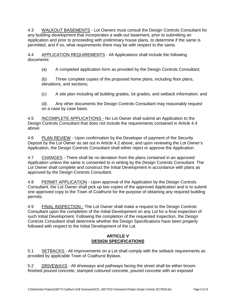4.3 WALKOUT BASEMENTS - Lot Owners must consult the Design Controls Consultant for any building development that incorporates a walk-out basement, prior to submitting an Application and prior to proceeding with preliminary house plans, to determine if the same is permitted, and if so, what requirements there may be with respect to the same.

4.4 APPLICATION REQUIREMENTS - All Applications shall include the following documents:

(a) A completed application form as provided by the Design Controls Consultant;

(b) Three complete copies of the proposed home plans, including floor plans, elevations, and sections;

(c) A site plan including all building grades, lot grades, and setback information; and

(d) Any other documents the Design Controls Consultant may reasonably request on a case by case basis.

4.5 INCOMPLETE APPLICATIONS - No Lot Owner shall submit an Application to the Design Controls Consultant that does not include the requirements contained in Article 4.4 above.

4.6 PLAN REVIEW - Upon confirmation by the Developer of payment of the Security Deposit by the Lot Owner as set out in Article 4.2 above, and upon reviewing the Lot Owner's Application, the Design Controls Consultant shall either reject or approve the Application.

4.7 CHANGES - There shall be no deviation from the plans contained in an approved Application unless the same is consented to in writing by the Design Controls Consultant. The Lot Owner shall complete and construct the Initial Development in accordance with plans as approved by the Design Controls Consultant.

4.8 PERMIT APPLICATION - Upon approval of the Application by the Design Controls Consultant, the Lot Owner shall pick up two copies of the approved Application and is to submit one approved copy to the Town of Coalhurst for the purpose of obtaining any required building permits.

4.9 FINAL INSPECTION - The Lot Owner shall make a request to the Design Controls Consultant upon the completion of the Initial Development on any Lot for a final inspection of such Initial Development. Following the completion of the requested inspection, the Design Controls Consultant shall determine whether the Design Specifications have been properly followed with respect to the Initial Development of the Lot.

# **ARTICLE V DESIGN SPECIFICATIONS**

5.1 SETBACKS - All Improvements on a Lot shall comply with the setback requirements as provided by applicable Town of Coalhurst Bylaws.

5.2 DRIVEWAYS - All driveways and pathways facing the street shall be either broom finished poured concrete, stamped coloured concrete, poured concrete with an exposed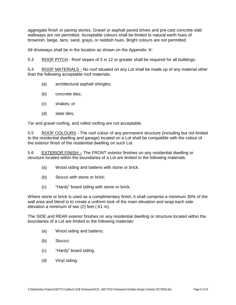aggregate finish or paving stones. Gravel or asphalt paved drives and pre-cast concrete slab walkways are not permitted. Acceptable colours shall be limited to natural earth hues of brownish, beige, tans, sand, grays, or reddish hues. Bright colours are not permitted.

All driveways shall be in the location as shown on the Appendix 'A'.

5.3 ROOF PITCH - Roof slopes of 5 in 12 or greater shall be required for all buildings.

5.4 ROOF MATERIALS - No roof situated on any Lot shall be made up of any material other than the following acceptable roof materials:

- (a) architectural asphalt shingles;
- (b) concrete tiles;
- (c) shakes; or
- (d) slate tiles;

Tar and gravel roofing, and rolled roofing are not acceptable.

5.5 ROOF COLOURS - The roof colour of any permanent structure (including but not limited to the residential dwelling and garage) located on a Lot shall be compatible with the colour of the exterior finish of the residential dwelling on such Lot.

5.6 EXTERIOR FINISH – The FRONT exterior finishes on any residential dwelling or structure located within the boundaries of a Lot are limited to the following materials:

- (a) Wood siding and battens with stone or brick;
- (b) Stucco with stone or brick;
- (c) "Hardy" board siding with stone or brick.

Where stone or brick is used as a complimentary finish, it shall comprise a minimum 30% of the wall area and blend in to create a uniform look of the main elevation and wrap each side elevation a minimum of two (2) feet (.61 m).

The SIDE and REAR exterior finishes on any residential dwelling or structure located within the boundaries of a Lot are limited to the following materials:

- (a) Wood siding and battens;
- (b) Stucco;
- (c) "Hardy" board siding.
- (d) Vinyl siding.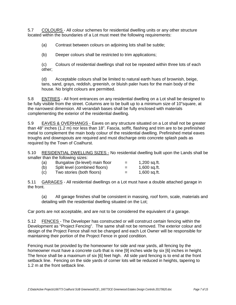5.7 COLOURS - All colour schemes for residential dwelling units or any other structure located within the boundaries of a Lot must meet the following requirements:

(a) Contrast between colours on adjoining lots shall be subtle;

(b) Deeper colours shall be restricted to trim applications;

(c) Colours of residential dwellings shall not be repeated within three lots of each other;

(d) Acceptable colours shall be limited to natural earth hues of brownish, beige, tans, sand, grays, reddish, greenish, or bluish paler hues for the main body of the house. No bright colours are permitted.

5.8 ENTRIES - All front entrances on any residential dwelling on a Lot shall be designed to be fully visible from the street. Columns are to be built up to a minimum size of 10"square, at the narrowest dimension. All verandah bases shall be fully enclosed with materials complementing the exterior of the residential dwelling.

5.9 EAVES & OVERHANGS - Eaves on any structure situated on a Lot shall not be greater than 48" inches (1.2 m) nor less than 18". Fascia, soffit, flashing and trim are to be prefinished metal to complement the main body colour of the residential dwelling. Prefinished metal eaves troughs and downspouts are required and must discharge onto concrete splash pads as required by the Town of Coalhurst.

5.10 RESIDENTIAL DWELLING SIZES - No residential dwelling built upon the Lands shall be smaller than the following sizes:

| (a) | Bungalow (bi-level) main floor | $=$ | 1,200 sq.ft. |
|-----|--------------------------------|-----|--------------|
| (b) | Split level (combined floors)  | $=$ | 1,600 sq.ft. |
| (c) | Two stories (both floors)      | $=$ | 1,600 sq.ft. |

5.11 GARAGES - All residential dwellings on a Lot must have a double attached garage in the front.

(a) All garage finishes shall be consistent in massing, roof form, scale, materials and detailing with the residential dwelling situated on the Lot;

Car ports are not acceptable, and are not to be considered the equivalent of a garage.

5.12 FENCES - The Developer has constructed or will construct certain fencing within the Development as "Project Fencing". The same shall not be removed. The exterior colour and design of the Project Fence shall not be changed and each Lot Owner will be responsible for maintaining their portion of the Project Fence in good condition.

Fencing must be provided by the homeowner for side and rear yards, all fencing by the homeowner must have a concrete curb that is nine [9] inches wide by six [6] inches in height. The fence shall be a maximum of six [6] feet high. All side yard fencing is to end at the front setback line. Fencing on the side yards of corner lots will be reduced in heights, tapering to 1.2 m at the front setback line.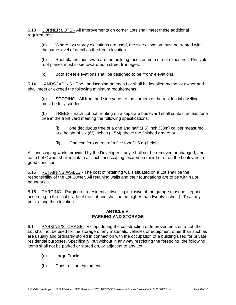5.13 CORNER LOTS - All Improvements on corner Lots shall meet these additional requirements:

(a) Where two storey elevations are used, the side elevation must be treated with the same level of detail as the front elevation.

(b) Roof planes must wrap around building faces on both street exposures. Principle roof planes must slope toward both street frontages.

(c) Both street elevations shall be designed to be 'front' elevations.

5.14 LANDSCAPING - The Landscaping on each Lot shall be installed by the lot owner and shall meet or exceed the following minimum requirements:

(a) SODDING - All front and side yards to the corners of the residential dwelling must be fully sodded.

(b) TREES - Each Lot not fronting on a separate boulevard shall contain at least one tree in the front yard meeting the following specifications:

(i) one deciduous tree of a one and half (1.5) inch (38m) caliper measured at a height of six (6") inches (.15M) above the finished grade; or

(ii) One coniferous tree of a five foot (1.5 m) height.

All landscaping works provided by the Developer if any, shall not be removed or changed, and each Lot Owner shall maintain all such landscaping located on their Lot or on the boulevard in good condition.

5.15 RETAINING WALLS - The cost of retaining walls situated on a Lot shall be the responsibility of the Lot Owner. All retaining walls and their foundations are to be within Lot boundaries.

5.16 PARGING - Parging of a residential dwelling inclusive of the garage must be stepped according to the final grade of the Lot and shall be no higher than twenty inches (20") at any point along the elevation.

#### **ARTICLE VI PARKING AND STORAGE**

6.1 PARKING/STORAGE - Except during the construction of Improvements on a Lot, the Lot shall not be used for the storage of any materials, vehicles or equipment other than such as are usually and ordinarily stored in connection with the occupation of a building used for private residential purposes. Specifically, but without in any way restricting the foregoing, the following items shall not be parked or stored on, or adjacent to any Lot:

- (a) Large Trucks;
- (b) Construction equipment;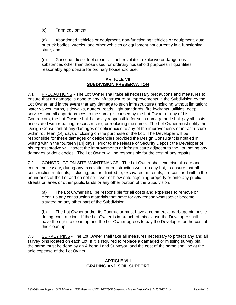(c) Farm equipment;

(d) Abandoned vehicles or equipment, non-functioning vehicles or equipment, auto or truck bodies, wrecks, and other vehicles or equipment not currently in a functioning state; and

(e) Gasoline, diesel fuel or similar fuel or volatile, explosive or dangerous substances other than those used for ordinary household purposes in quantities reasonably appropriate for ordinary household use.

#### **ARTICLE VII SUBDIVISION PRESERVATION**

7.1 PRECAUTIONS - The Lot Owner shall take all necessary precautions and measures to ensure that no damage is done to any infrastructure or improvements in the Subdivision by the Lot Owner, and in the event that any damage to such infrastructure (including without limitation; water valves, curbs, sidewalks, gutters, roads, light standards, fire hydrants, utilities, deep services and all appurtenances to the same) is caused by the Lot Owner or any of his Contractors, the Lot Owner shall be solely responsible for such damage and shall pay all costs associated with repairing, reconstructing or replacing the same. The Lot Owner must notify the Design Consultant of any damages or deficiencies to any of the improvements or infrastructure within fourteen [14] days of closing on the purchase of the Lot. The Developer will be responsible for these damages or deficiencies provided the Design Consultant is notified in writing within the fourteen [14] days. Prior to the release of Security Deposit the Developer or his representative will inspect the improvements or infrastructure adjacent to the Lot, noting any damages or deficiencies. The Lot Owner will be responsible for the cost of any repairs.

7.2 CONSTRUCTION SITE MAINTENANCE - The Lot Owner shall exercise all care and control necessary, during any excavation or construction work on any Lot, to ensure that all construction materials, including, but not limited to, excavated materials, are confined within the boundaries of the Lot and do not spill over or blow onto adjoining property or onto any public streets or lanes or other public lands or any other portion of the Subdivision.

(a) The Lot Owner shall be responsible for all costs and expenses to remove or clean up any construction materials that have for any reason whatsoever become situated on any other part of the Subdivision.

(b) The Lot Owner and/or its Contractor must have a commercial garbage bin onsite during construction. If the Lot Owner is in breach of this clause the Developer shall have the right to clean up and the Lot Owner agrees to pay the Developer for the cost of this clean up.

7.3 SURVEY PINS - The Lot Owner shall take all measures necessary to protect any and all survey pins located on each Lot. If it is required to replace a damaged or missing survey pin, the same must be done by an Alberta Land Surveyor, and the cost of the same shall be at the sole expense of the Lot Owner.

#### **ARTICLE VIII GRADING AND SOIL SUPPORT**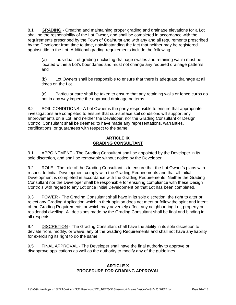8.1 GRADING - Creating and maintaining proper grading and drainage elevations for a Lot shall be the responsibility of the Lot Owner, and shall be completed in accordance with the requirements prescribed by the Town of Coalhurst and with any and all requirements prescribed by the Developer from time to time, notwithstanding the fact that neither may be registered against title to the Lot. Additional grading requirements include the following:

(a) Individual Lot grading (including drainage swales and retaining walls) must be located within a Lot's boundaries and must not change any required drainage patterns; and

(b) Lot Owners shall be responsible to ensure that there is adequate drainage at all times on the Lot.

(c) Particular care shall be taken to ensure that any retaining walls or fence curbs do not in any way impede the approved drainage patterns.

8.2 SOIL CONDITIONS - A Lot Owner is the party responsible to ensure that appropriate investigations are completed to ensure that sub-surface soil conditions will support any Improvements on a Lot, and neither the Developer, nor the Grading Consultant or Design Control Consultant shall be deemed to have made any representations, warranties, certifications, or guarantees with respect to the same.

# **ARTICLE IX GRADING CONSULTANT**

9.1 APPOINTMENT - The Grading Consultant shall be appointed by the Developer in its sole discretion, and shall be removable without notice by the Developer.

9.2 ROLE - The role of the Grading Consultant is to ensure that the Lot Owner's plans with respect to Initial Development comply with the Grading Requirements and that all Initial Development is completed in accordance with the Grading Requirements. Neither the Grading Consultant nor the Developer shall be responsible for ensuring compliance with these Design Controls with regard to any Lot once Initial Development on that Lot has been completed.

9.3 POWER - The Grading Consultant shall have in its sole discretion, the right to alter or reject any Grading Application which in their opinion does not meet or follow the spirit and intent of the Grading Requirements or which may adversely affect any neighbouring Lot, property or residential dwelling. All decisions made by the Grading Consultant shall be final and binding in all respects.

9.4 DISCRETION - The Grading Consultant shall have the ability in its sole discretion to deviate from, modify, or waive, any of the Grading Requirements and shall not have any liability for exercising its right to do the same.

9.5 FINAL APPROVAL - The Developer shall have the final authority to approve or disapprove applications as well as the authority to modify any of the guidelines.

#### **ARTICLE X PROCEDURE FOR GRADING APPROVAL**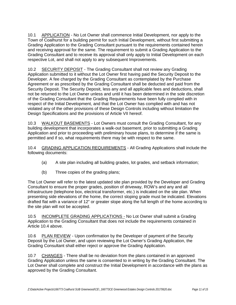10.1 APPLICATION - No Lot Owner shall commence Initial Development, nor apply to the Town of Coalhurst for a building permit for such Initial Development, without first submitting a Grading Application to the Grading Consultant pursuant to the requirements contained herein and receiving approval for the same. The requirement to submit a Grading Application to the Grading Consultant and to receive its approval shall only apply to Initial Development on each respective Lot, and shall not apply to any subsequent Improvements.

10.2 SECURITY DEPOSIT - The Grading Consultant shall not review any Grading Application submitted to it without the Lot Owner first having paid the Security Deposit to the Developer. A fee charged by the Grading Consultant as contemplated by the Purchase Agreement or as prescribed by the Grading Consultant shall be deducted and paid from the Security Deposit. The Security Deposit, less any and all applicable fees and deductions, shall not be returned to the Lot Owner unless and until it has been determined in the sole discretion of the Grading Consultant that the Grading Requirements have been fully complied with in respect of the Initial Development, and that the Lot Owner has complied with and has not violated any of the other provisions of these Design Controls including without limitation the Design Specifications and the provisions of Article VII hereof.

10.3 WALKOUT BASEMENTS - Lot Owners must consult the Grading Consultant, for any building development that incorporates a walk-out basement, prior to submitting a Grading Application and prior to proceeding with preliminary house plans, to determine if the same is permitted and if so, what requirements there may be with respect to the same.

10.4 GRADING APPLICATION REQUIREMENTS - All Grading Applications shall include the following documents:

- (a) A site plan including all building grades, lot grades, and setback information;
- (b) Three copies of the grading plans;

The Lot Owner will refer to the latest updated site plan provided by the Developer and Grading Consultant to ensure the proper grades, position of driveway, ROW's and any and all infrastructure (telephone box, electrical transformer, etc.) is indicated on the site plan. When presenting side elevations of the home, the correct sloping grade must be indicated. Elevations drafted flat with a variance of 12" or greater slope along the full length of the home according to the site plan will not be accepted.

10.5 INCOMPLETE GRADING APPLICATIONS - No Lot Owner shall submit a Grading Application to the Grading Consultant that does not include the requirements contained in Article 10.4 above.

10.6 PLAN REVIEW - Upon confirmation by the Developer of payment of the Security Deposit by the Lot Owner, and upon reviewing the Lot Owner's Grading Application, the Grading Consultant shall either reject or approve the Grading Application.

10.7 CHANGES - There shall be no deviation from the plans contained in an approved Grading Application unless the same is consented to in writing by the Grading Consultant. The Lot Owner shall complete and construct the Initial Development in accordance with the plans as approved by the Grading Consultant.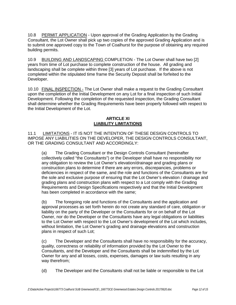10.8 PERMIT APPLICATION - Upon approval of the Grading Application by the Grading Consultant, the Lot Owner shall pick up two copies of the approved Grading Application and is to submit one approved copy to the Town of Coalhurst for the purpose of obtaining any required building permits.

10.9 BUILDING AND LANDSCAPING COMPLETION - The Lot Owner shall have two [2] years from time of Lot purchase to complete construction of the house. All grading and landscaping shall be complete within three [3] years of Lot purchase. If the above is not completed within the stipulated time frame the Security Deposit shall be forfeited to the Developer.

10.10 FINAL INSPECTION - The Lot Owner shall make a request to the Grading Consultant upon the completion of the Initial Development on any Lot for a final inspection of such Initial Development. Following the completion of the requested inspection, the Grading Consultant shall determine whether the Grading Requirements have been properly followed with respect to the Initial Development of the Lot.

#### **ARTICLE XI LIABILITY LIMITATIONS**

11.1 LIMITATIONS - IT IS NOT THE INTENTION OF THESE DESIGN CONTROLS TO IMPOSE ANY LIABILITIES ON THE DEVELOPER, THE DESIGN CONTROLS CONSULTANT, OR THE GRADING CONSULTANT AND ACCORDINGLY:

(a) The Grading Consultant or the Design Controls Consultant (hereinafter collectively called "the Consultants") or the Developer shall have no responsibility nor any obligation to review the Lot Owner's elevation/drainage and grading plans or construction plans to determine if there are any errors, discrepancies, problems or deficiencies in respect of the same, and the role and functions of the Consultants are for the sole and exclusive purpose of ensuring that the Lot Owner's elevation / drainage and grading plans and construction plans with respect to a Lot comply with the Grading Requirements and Design Specifications respectively and that the Initial Development has been completed in accordance with the same;

(b) The foregoing role and functions of the Consultants and the application and approval processes as set forth herein do not create any standard of care, obligation or liability on the party of the Developer or the Consultants for or on behalf of the Lot Owner, nor do the Developer or the Consultants have any legal obligations or liabilities to the Lot Owner with respect to the Lot Owner's development of the Lot which includes, without limitation, the Lot Owner's grading and drainage elevations and construction plans in respect of such Lot;

(c) The Developer and the Consultants shall have no responsibility for the accuracy, quality, correctness or reliability of information provided by the Lot Owner to the Consultants, and the Developer and the Consultants shall be indemnified by the Lot Owner for any and all losses, costs, expenses, damages or law suits resulting in any way therefrom;

(d) The Developer and the Consultants shall not be liable or responsible to the Lot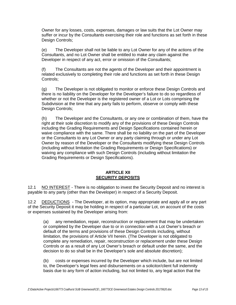Owner for any losses, costs, expenses, damages or law suits that the Lot Owner may suffer or incur by the Consultants exercising their role and functions as set forth in these Design Controls;

(e) The Developer shall not be liable to any Lot Owner for any of the actions of the Consultants, and no Lot Owner shall be entitled to make any claim against the Developer in respect of any act, error or omission of the Consultants;

(f) The Consultants are not the agents of the Developer and their appointment is related exclusively to completing their role and functions as set forth in these Design Controls;

(g) The Developer is not obligated to monitor or enforce these Design Controls and there is no liability on the Developer for the Developer's failure to do so regardless of whether or not the Developer is the registered owner of a Lot or Lots comprising the Subdivision at the time that any party fails to perform, observe or comply with these Design Controls;

(h) The Developer and the Consultants, or any one or combination of them, have the right at their sole discretion to modify any of the provisions of these Design Controls including the Grading Requirements and Design Specifications contained herein or waive compliance with the same. There shall be no liability on the part of the Developer or the Consultants to any Lot Owner or any party claiming through or under any Lot Owner by reason of the Developer or the Consultants modifying these Design Controls (including without limitation the Grading Requirements or Design Specifications) or waiving any compliance with such Design Controls (including without limitation the Grading Requirements or Design Specifications).

#### **ARTICLE XII SECURITY DEPOSITS**

12.1 NO INTEREST - There is no obligation to invest the Security Deposit and no interest is payable to any party (other than the Developer) in respect of a Security Deposit.

12.2 DEDUCTIONS - The Developer, at its option, may appropriate and apply all or any part of the Security Deposit it may be holding in respect of a particular Lot, on account of the costs or expenses sustained by the Developer arising from:

(a) any remediation, repair, reconstruction or replacement that may be undertaken or completed by the Developer due to or in connection with a Lot Owner's breach or default of the terms and provisions of these Design Controls including, without limitation, the provisions of Article VII herein. (The Developer is not obligated to complete any remediation, repair, reconstruction or replacement under these Design Controls or as a result of any Lot Owner's breach or default under the same, and the decision to do so shall be in the Developer's sole and absolute discretion);

(b) costs or expenses incurred by the Developer which include, but are not limited to, the Developer's legal fees and disbursements on a solicitor/client full indemnity basis due to any form of action including, but not limited to, any legal action that the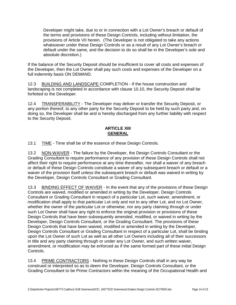Developer might take, due to or in connection with a Lot Owner's breach or default of the terms and provisions of these Design Controls, including without limitation, the provisions of Article VII herein. (The Developer is not obligated to take any actions whatsoever under these Design Controls or as a result of any Lot Owner's breach or default under the same, and the decision to do so shall be in the Developer's sole and absolute discretion.)

If the balance of the Security Deposit should be insufficient to cover all costs and expenses of the Developer, then the Lot Owner shall pay such costs and expenses of the Developer on a full indemnity basis ON DEMAND.

12.3 BUILDING AND LANDSCAPE COMPLETION - If the house construction and landscaping is not completed in accordance with clause 10.10, the Security Deposit shall be forfeited to the Developer.

12.4 TRANSFERABILITY - The Developer may deliver or transfer the Security Deposit, or any portion thereof, to any other party for the Security Deposit to be held by such party and, on doing so, the Developer shall be and is hereby discharged from any further liability with respect to the Security Deposit.

# **ARTICLE XIII GENERAL**

13.1 TIME - Time shall be of the essence of these Design Controls.

13.2 NON-WAIVER - The failure by the Developer, the Design Controls Consultant or the Grading Consultant to require performance of any provision of these Design Controls shall not affect their right to require performance at any time thereafter, nor shall a waiver of any breach or default of these Design Controls constitute a waiver of any subsequent breach or default or a waiver of the provision itself unless the subsequent breach or default was waived in writing by the Developer, Design Controls Consultant or Grading Consultant.

13.3 BINDING EFFECT OF WAIVER - In the event that any of the provisions of these Design Controls are waived, modified or amended in writing by the Developer, Design Controls Consultant or Grading Consultant in respect of a particular Lot, such waiver, amendment, or modification shall apply to that particular Lot only and not to any other Lot, and no Lot Owner, whether the owner of the particular Lot or otherwise, nor any party claiming through or under such Lot Owner shall have any right to enforce the original provision or provisions of these Design Controls that have been subsequently amended, modified, or waived in writing by the Developer, Design Controls Consultant, or the Grading Consultant. The provisions of these Design Controls that have been waived, modified or amended in writing by the Developer, Design Controls Consultant or Grading Consultant in respect of a particular Lot, shall be binding upon the Lot Owner of such Lot as well as all other Lot Owners including all of their successors in title and any party claiming through or under any Lot Owner, and such written waiver, amendment, or modification may be enforced as if the same formed part of these initial Design Controls.

13.4 PRIME CONTRACTORS - Nothing in these Design Controls shall in any way be construed or interpreted so as to deem the Developer, Design Controls Consultant, or the Grading Consultant to be Prime Contractors within the meaning of the Occupational Health and